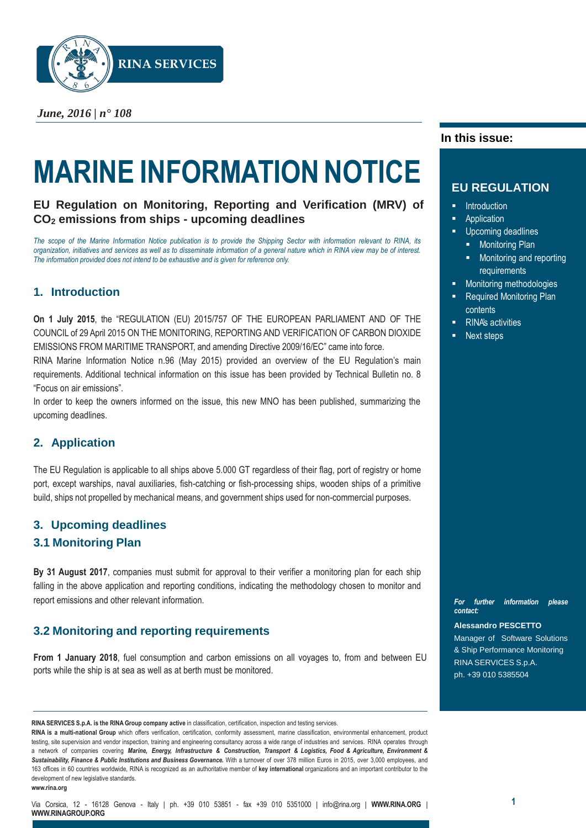

*June, 2016 | n° 108*

# **MARINE INFORMATION NOTICE**

**EU Regulation on Monitoring, Reporting and Verification (MRV) of CO<sup>2</sup> emissions from ships - upcoming deadlines**

The scope of the Marine Information Notice publication is to provide the Shipping Sector with information relevant to RINA, its organization, initiatives and services as well as to disseminate information of a general nature which in RINA view may be of interest. *The information provided does not intend to be exhaustive and is given for reference only.*

# **1. Introduction**

**On 1 July 2015**, the "REGULATION (EU) 2015/757 OF THE EUROPEAN PARLIAMENT AND OF THE COUNCIL of 29 April 2015 ON THE MONITORING, REPORTING AND VERIFICATION OF CARBON DIOXIDE EMISSIONS FROM MARITIME TRANSPORT, and amending Directive 2009/16/EC" came into force.

RINA Marine Information Notice n.96 (May 2015) provided an overview of the EU Regulation's main requirements. Additional technical information on this issue has been provided by Technical Bulletin no. 8 "Focus on air emissions".

In order to keep the owners informed on the issue, this new MNO has been published, summarizing the upcoming deadlines.

## **2. Application**

The EU Regulation is applicable to all ships above 5.000 GT regardless of their flag, port of registry or home port, except warships, naval auxiliaries, fish-catching or fish-processing ships, wooden ships of a primitive build, ships not propelled by mechanical means, and government ships used for non-commercial purposes.

## **3. Upcoming deadlines**

## **3.1 Monitoring Plan**

**By 31 August 2017**, companies must submit for approval to their verifier a monitoring plan for each ship falling in the above application and reporting conditions, indicating the methodology chosen to monitor and report emissions and other relevant information.

# **3.2 Monitoring and reporting requirements**

**From 1 January 2018**, fuel consumption and carbon emissions on all voyages to, from and between EU ports while the ship is at sea as well as at berth must be monitored.

**RINA SERVICES S.p.A. is the RINA Group company active** in classification, certification, inspection and testing services.

**RINA is a multi-national Group** which offers verification, certification, conformity assessment, marine classification, environmental enhancement, product testing, site supervision and vendor inspection, training and engineering consultancy across a wide range of industries and services. RINA operates through a network of companies covering *Marine, Energy, Infrastructure & Construction, Transport & Logistics, Food & Agriculture, Environment & Sustainability, Finance & Public Institutions and Business Governance.* With a turnover of over 378 million Euros in 2015, over 3,000 employees, and 163 offices in 60 countries worldwide, RINA is recognized as an authoritative member of **key international** organizations and an important contributor to the development of new legislative standards. **[www.rina.org](http://www.rina.org/)**

### **In this issue:**

## **EU REGULATION**

- Introduction
- Application
- Upcoming deadlines
	- **Monitoring Plan**
	- **Monitoring and reporting** requirements
- Monitoring methodologies
- Required Monitoring Plan contents
- RINA's activities
- Next steps

*For further information please contact:*

#### **Alessandro PESCETTO**

Manager of Software Solutions & Ship Performance Monitoring RINA SERVICES S.p.A. ph. +39 010 5385504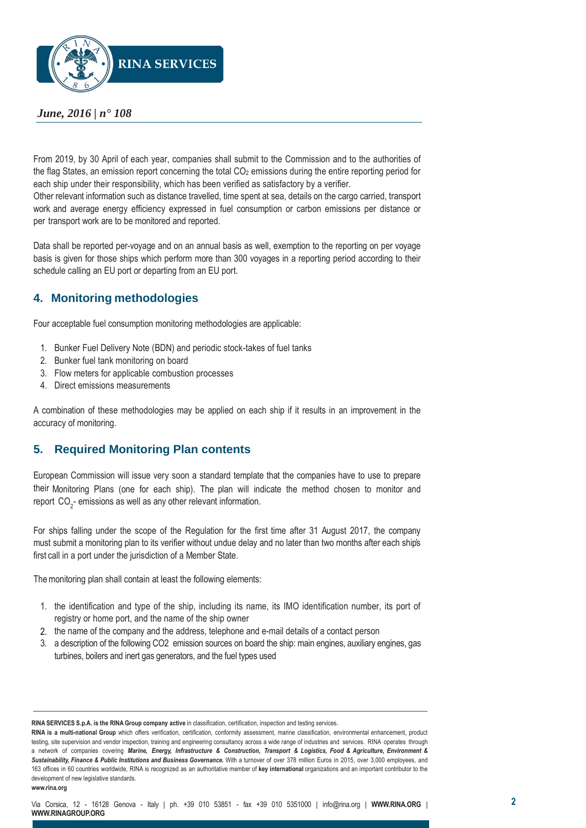

## *June, 2016 | n° 108*

From 2019, by 30 April of each year, companies shall submit to the Commission and to the authorities of the flag States, an emission report concerning the total  $CO<sub>2</sub>$  emissions during the entire reporting period for each ship under their responsibility, which has been verified as satisfactory by a verifier.

Other relevant information such as distance travelled, time spent at sea, details on the cargo carried, transport work and average energy efficiency expressed in fuel consumption or carbon emissions per distance or per transport work are to be monitored and reported.

Data shall be reported per-voyage and on an annual basis as well, exemption to the reporting on per voyage basis is given for those ships which perform more than 300 voyages in a reporting period according to their schedule calling an EU port or departing from an EU port.

## **4. Monitoring methodologies**

Four acceptable fuel consumption monitoring methodologies are applicable:

- 1. Bunker Fuel Delivery Note (BDN) and periodic stock-takes of fuel tanks
- 2. Bunker fuel tank monitoring on board
- 3. Flow meters for applicable combustion processes
- 4. Direct emissions measurements

A combination of these methodologies may be applied on each ship if it results in an improvement in the accuracy of monitoring.

## **5. Required Monitoring Plan contents**

European Commission will issue very soon a standard template that the companies have to use to prepare their Monitoring Plans (one for each ship). The plan will indicate the method chosen to monitor and report  $\mathrm{CO}_2^-$  emissions as well as any other relevant information.

For ships falling under the scope of the Regulation for the first time after 31 August 2017, the company must submit a monitoring plan to its verifier without undue delay and no later than two months after each ship's first call in a port under the jurisdiction of a Member State.

The monitoring plan shall contain at least the following elements:

- 1. the identification and type of the ship, including its name, its IMO identification number, its port of registry or home port, and the name of the ship owner
- 2. the name of the company and the address, telephone and e-mail details of a contact person
- 3. a description of the following CO2 emission sources on board the ship: main engines, auxiliary engines, gas turbines, boilers and inert gas generators, and the fuel types used

**RINA SERVICES S.p.A. is the RINA Group company active** in classification, certification, inspection and testing services.

**RINA is a multi-national Group** which offers verification, certification, conformity assessment, marine classification, environmental enhancement, product testing, site supervision and vendor inspection, training and engineering consultancy across a wide range of industries and services. RINA operates through a network of companies covering *Marine, Energy, Infrastructure & Construction, Transport & Logistics, Food & Agriculture, Environment & Sustainability, Finance & Public Institutions and Business Governance.* With a turnover of over 378 million Euros in 2015, over 3,000 employees, and 163 offices in 60 countries worldwide, RINA is recognized as an authoritative member of **key international** organizations and an important contributor to the development of new legislative standards. **[www.rina.org](http://www.rina.org/)**

Via Corsica, 12 - 16128 Genova - Italy *|* ph. +39 010 53851 - fax +39 010 5351000 *|* [info@rina.org](mailto:info@rina.org) *|* **[WWW.RINA.ORG](http://www.rina.org/)** *|* **[WWW.RINAGROUP.ORG](http://www.rinagroup.org/)**